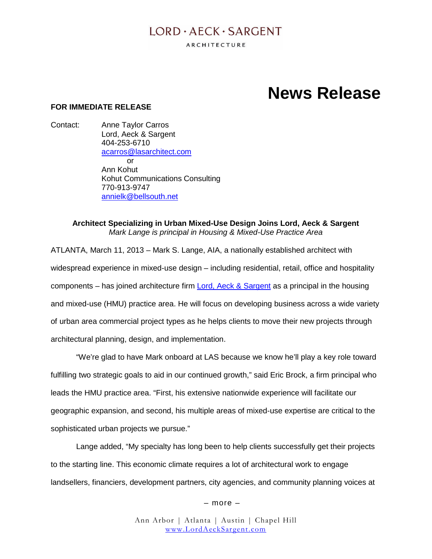## $LORD \cdot AECK \cdot SARGENT$

ARCHITECTURE

# **News Release**

#### **FOR IMMEDIATE RELEASE**

Contact: Anne Taylor Carros Lord, Aeck & Sargent 404-253-6710 [acarros@lasarchitect.com](mailto:acarros@lasarchitect.com) or Ann Kohut Kohut Communications Consulting 770-913-9747 [annielk@bellsouth.net](mailto:annielk@bellsouth.net)

#### **Architect Specializing in Urban Mixed-Use Design Joins Lord, Aeck & Sargent** *Mark Lange is principal in Housing & Mixed-Use Practice Area*

ATLANTA, March 11, 2013 – Mark S. Lange, AIA, a nationally established architect with widespread experience in mixed-use design – including residential, retail, office and hospitality components – has joined architecture firm [Lord, Aeck & Sarg](http://www.lordaecksargent.com/)ent as a principal in the [housing](http://www.urbancollage.com/) [and mixe](http://www.urbancollage.com/)d-use (HMU) practice area. He will focus on developing business across a wide variety of urban area commercial project types as he helps clients to move their new projects through architectural planning, design, and implementation.

"We're glad to have Mark onboard at LAS because we know he'll play a key role toward fulfilling two strategic goals to aid in our continued growth," said Eric Brock, a firm principal who leads the HMU practice area. "First, his extensive nationwide experience will facilitate our geographic expansion, and second, his multiple areas of mixed-use expertise are critical to the sophisticated urban projects we pursue."

Lange added, "My specialty has long been to help clients successfully get their projects to the starting line. This economic climate requires a lot of architectural work to engage landsellers, financiers, development partners, city agencies, and community planning voices at

– more –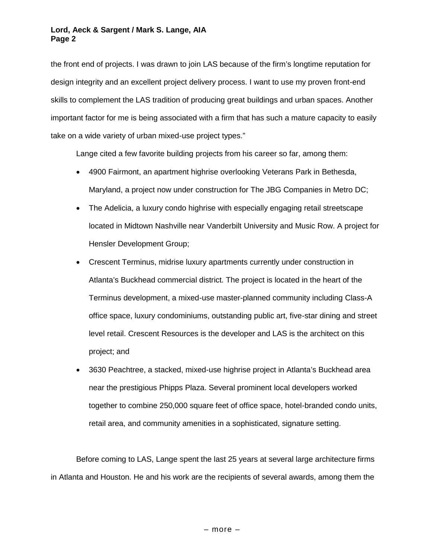the front end of projects. I was drawn to join LAS because of the firm's longtime reputation for design integrity and an excellent project delivery process. I want to use my proven front-end skills to complement the LAS tradition of producing great buildings and urban spaces. Another important factor for me is being associated with a firm that has such a mature capacity to easily take on a wide variety of urban mixed-use project types."

Lange cited a few favorite building projects from his career so far, among them:

- 4900 Fairmont, an apartment highrise overlooking Veterans Park in Bethesda, Maryland, a project now under construction for The JBG Companies in Metro DC;
- The Adelicia, a luxury condo highrise with especially engaging retail streetscape located in Midtown Nashville near Vanderbilt University and Music Row. A project for Hensler Development Group;
- Crescent Terminus, midrise luxury apartments currently under construction in Atlanta's Buckhead commercial district. The project is located in the heart of the Terminus development, a mixed-use master-planned community including Class-A office space, luxury condominiums, outstanding public art, five-star dining and street level retail. Crescent Resources is the developer and LAS is the architect on this project; and
- 3630 Peachtree, a stacked, mixed-use highrise project in Atlanta's Buckhead area near the prestigious Phipps Plaza. Several prominent local developers worked together to combine 250,000 square feet of office space, hotel-branded condo units, retail area, and community amenities in a sophisticated, signature setting.

Before coming to LAS, Lange spent the last 25 years at several large architecture firms in Atlanta and Houston. He and his work are the recipients of several awards, among them the